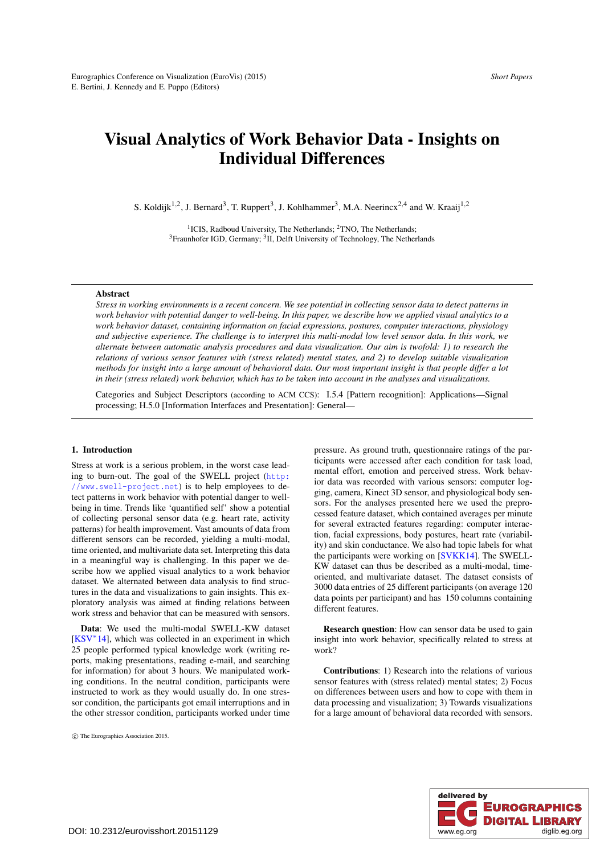# <span id="page-0-0"></span>Visual Analytics of Work Behavior Data - Insights on Individual Differences

S. Koldijk<sup>1,2</sup>, J. Bernard<sup>3</sup>, T. Ruppert<sup>3</sup>, J. Kohlhammer<sup>3</sup>, M.A. Neerincx<sup>2,4</sup> and W. Kraaij<sup>1,2</sup>

<sup>1</sup>ICIS, Radboud University, The Netherlands; <sup>2</sup>TNO, The Netherlands; <sup>3</sup>Fraunhofer IGD, Germany; <sup>3</sup>II, Delft University of Technology, The Netherlands

# Abstract

*Stress in working environments is a recent concern. We see potential in collecting sensor data to detect patterns in work behavior with potential danger to well-being. In this paper, we describe how we applied visual analytics to a work behavior dataset, containing information on facial expressions, postures, computer interactions, physiology and subjective experience. The challenge is to interpret this multi-modal low level sensor data. In this work, we alternate between automatic analysis procedures and data visualization. Our aim is twofold: 1) to research the relations of various sensor features with (stress related) mental states, and 2) to develop suitable visualization methods for insight into a large amount of behavioral data. Our most important insight is that people differ a lot in their (stress related) work behavior, which has to be taken into account in the analyses and visualizations.*

Categories and Subject Descriptors (according to ACM CCS): I.5.4 [Pattern recognition]: Applications—Signal processing; H.5.0 [Information Interfaces and Presentation]: General—

# 1. Introduction

Stress at work is a serious problem, in the worst case leading to burn-out. The goal of the SWELL project ([http:](http://www.swell-project.net) [//www.swell-project.net](http://www.swell-project.net)) is to help employees to detect patterns in work behavior with potential danger to wellbeing in time. Trends like 'quantified self' show a potential of collecting personal sensor data (e.g. heart rate, activity patterns) for health improvement. Vast amounts of data from different sensors can be recorded, yielding a multi-modal, time oriented, and multivariate data set. Interpreting this data in a meaningful way is challenging. In this paper we describe how we applied visual analytics to a work behavior dataset. We alternated between data analysis to find structures in the data and visualizations to gain insights. This exploratory analysis was aimed at finding relations between work stress and behavior that can be measured with sensors.

Data: We used the multi-modal SWELL-KW dataset [\[KSV](#page-4-0)∗14], which was collected in an experiment in which 25 people performed typical knowledge work (writing reports, making presentations, reading e-mail, and searching for information) for about 3 hours. We manipulated working conditions. In the neutral condition, participants were instructed to work as they would usually do. In one stressor condition, the participants got email interruptions and in the other stressor condition, participants worked under time pressure. As ground truth, questionnaire ratings of the participants were accessed after each condition for task load, mental effort, emotion and perceived stress. Work behavior data was recorded with various sensors: computer logging, camera, Kinect 3D sensor, and physiological body sensors. For the analyses presented here we used the preprocessed feature dataset, which contained averages per minute for several extracted features regarding: computer interaction, facial expressions, body postures, heart rate (variability) and skin conductance. We also had topic labels for what the participants were working on [\[SVKK14\]](#page-4-1). The SWELL-KW dataset can thus be described as a multi-modal, timeoriented, and multivariate dataset. The dataset consists of 3000 data entries of 25 different participants (on average 120 data points per participant) and has 150 columns containing different features.

Research question: How can sensor data be used to gain insight into work behavior, specifically related to stress at work?

Contributions: 1) Research into the relations of various sensor features with (stress related) mental states; 2) Focus on differences between users and how to cope with them in data processing and visualization; 3) Towards visualizations for a large amount of behavioral data recorded with sensors.



c The Eurographics Association 2015.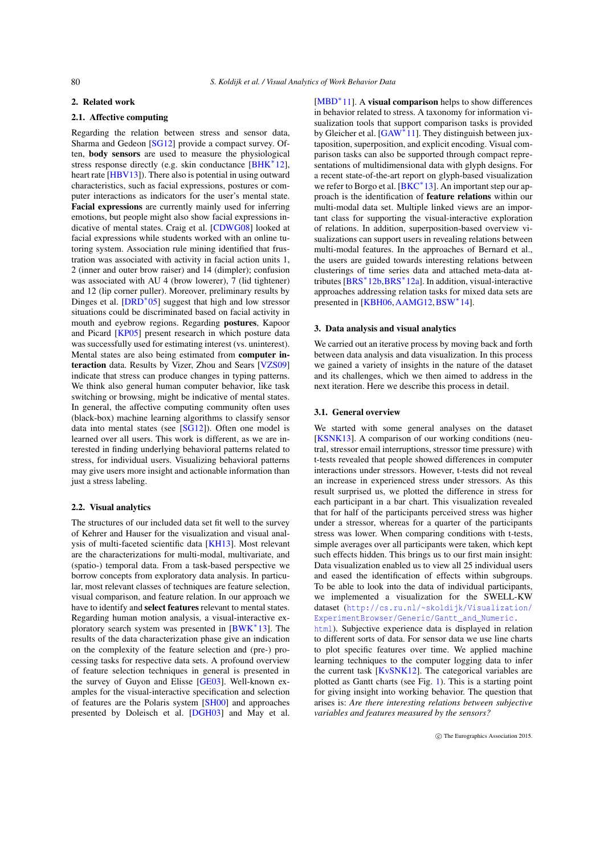### <span id="page-1-0"></span>2. Related work

# 2.1. Affective computing

Regarding the relation between stress and sensor data, Sharma and Gedeon [\[SG12\]](#page-4-2) provide a compact survey. Often, body sensors are used to measure the physiological stress response directly (e.g. skin conductance [\[BHK](#page-4-3)<sup>\*</sup>12], heart rate [\[HBV13\]](#page-4-4)). There also is potential in using outward characteristics, such as facial expressions, postures or computer interactions as indicators for the user's mental state. Facial expressions are currently mainly used for inferring emotions, but people might also show facial expressions indicative of mental states. Craig et al. [\[CDWG08\]](#page-4-5) looked at facial expressions while students worked with an online tutoring system. Association rule mining identified that frustration was associated with activity in facial action units 1, 2 (inner and outer brow raiser) and 14 (dimpler); confusion was associated with AU 4 (brow lowerer), 7 (lid tightener) and 12 (lip corner puller). Moreover, preliminary results by Dinges et al. [\[DRD](#page-4-6)∗05] suggest that high and low stressor situations could be discriminated based on facial activity in mouth and eyebrow regions. Regarding postures, Kapoor and Picard [\[KP05\]](#page-4-7) present research in which posture data was successfully used for estimating interest (vs. uninterest). Mental states are also being estimated from computer interaction data. Results by Vizer, Zhou and Sears [\[VZS09\]](#page-4-8) indicate that stress can produce changes in typing patterns. We think also general human computer behavior, like task switching or browsing, might be indicative of mental states. In general, the affective computing community often uses (black-box) machine learning algorithms to classify sensor data into mental states (see [\[SG12\]](#page-4-2)). Often one model is learned over all users. This work is different, as we are interested in finding underlying behavioral patterns related to stress, for individual users. Visualizing behavioral patterns may give users more insight and actionable information than just a stress labeling.

# 2.2. Visual analytics

The structures of our included data set fit well to the survey of Kehrer and Hauser for the visualization and visual analysis of multi-faceted scientific data [\[KH13\]](#page-4-9). Most relevant are the characterizations for multi-modal, multivariate, and (spatio-) temporal data. From a task-based perspective we borrow concepts from exploratory data analysis. In particular, most relevant classes of techniques are feature selection, visual comparison, and feature relation. In our approach we have to identify and select features relevant to mental states. Regarding human motion analysis, a visual-interactive ex-ploratory search system was presented in [\[BWK](#page-4-10)<sup>\*</sup>13]. The results of the data characterization phase give an indication on the complexity of the feature selection and (pre-) processing tasks for respective data sets. A profound overview of feature selection techniques in general is presented in the survey of Guyon and Elisse [\[GE03\]](#page-4-11). Well-known examples for the visual-interactive specification and selection of features are the Polaris system [\[SH00\]](#page-4-12) and approaches presented by Doleisch et al. [\[DGH03\]](#page-4-13) and May et al.

[\[MBD](#page-4-14)<sup>\*</sup>11]. A **visual comparison** helps to show differences in behavior related to stress. A taxonomy for information visualization tools that support comparison tasks is provided by Gleicher et al. [\[GAW](#page-4-15)∗11]. They distinguish between juxtaposition, superposition, and explicit encoding. Visual comparison tasks can also be supported through compact representations of multidimensional data with glyph designs. For a recent state-of-the-art report on glyph-based visualization we refer to Borgo et al. [\[BKC](#page-4-16)<sup>\*</sup>13]. An important step our approach is the identification of feature relations within our multi-modal data set. Multiple linked views are an important class for supporting the visual-interactive exploration of relations. In addition, superposition-based overview visualizations can support users in revealing relations between multi-modal features. In the approaches of Bernard et al., the users are guided towards interesting relations between clusterings of time series data and attached meta-data attributes [\[BRS](#page-4-17)∗12b[,BRS](#page-4-18)∗12a]. In addition, visual-interactive approaches addressing relation tasks for mixed data sets are presented in [\[KBH06,](#page-4-19) [AAMG12,](#page-4-20) [BSW](#page-4-21)<sup>\*</sup>14].

## 3. Data analysis and visual analytics

We carried out an iterative process by moving back and forth between data analysis and data visualization. In this process we gained a variety of insights in the nature of the dataset and its challenges, which we then aimed to address in the next iteration. Here we describe this process in detail.

#### 3.1. General overview

We started with some general analyses on the dataset [\[KSNK13\]](#page-4-22). A comparison of our working conditions (neutral, stressor email interruptions, stressor time pressure) with t-tests revealed that people showed differences in computer interactions under stressors. However, t-tests did not reveal an increase in experienced stress under stressors. As this result surprised us, we plotted the difference in stress for each participant in a bar chart. This visualization revealed that for half of the participants perceived stress was higher under a stressor, whereas for a quarter of the participants stress was lower. When comparing conditions with t-tests, simple averages over all participants were taken, which kept such effects hidden. This brings us to our first main insight: Data visualization enabled us to view all 25 individual users and eased the identification of effects within subgroups. To be able to look into the data of individual participants, we implemented a visualization for the SWELL-KW dataset ([http://cs.ru.nl/~skoldijk/Visualization/](http://cs.ru.nl/~skoldijk/Visualization/ExperimentBrowser/Generic/Gantt_and_Numeric.html) [ExperimentBrowser/Generic/Gantt\\_and\\_Numeric.](http://cs.ru.nl/~skoldijk/Visualization/ExperimentBrowser/Generic/Gantt_and_Numeric.html) [html](http://cs.ru.nl/~skoldijk/Visualization/ExperimentBrowser/Generic/Gantt_and_Numeric.html)). Subjective experience data is displayed in relation to different sorts of data. For sensor data we use line charts to plot specific features over time. We applied machine learning techniques to the computer logging data to infer the current task [\[KvSNK12\]](#page-4-23). The categorical variables are plotted as Gantt charts (see Fig. [1\)](#page-2-0). This is a starting point for giving insight into working behavior. The question that

arises is: *Are there interesting relations between subjective*

*variables and features measured by the sensors?*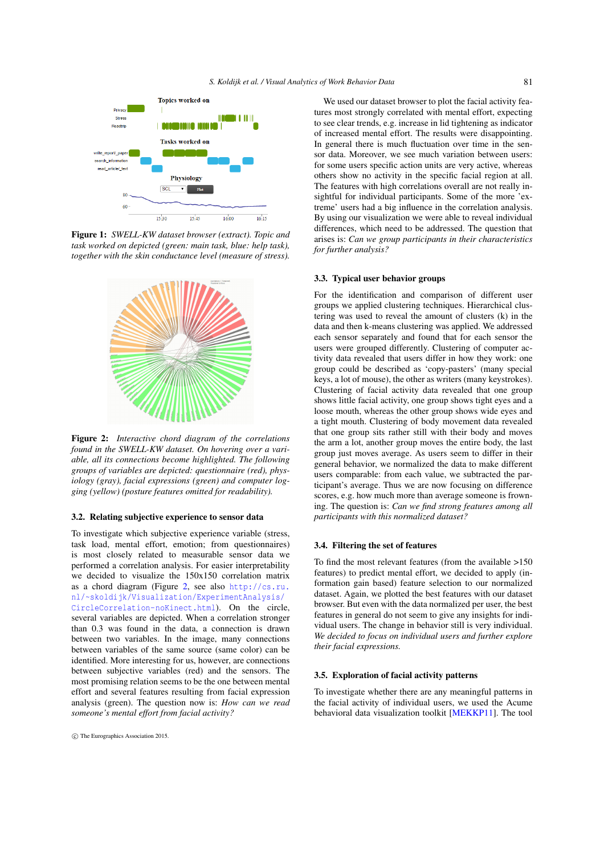<span id="page-2-2"></span>

<span id="page-2-0"></span>Figure 1: *SWELL-KW dataset browser (extract). Topic and task worked on depicted (green: main task, blue: help task), together with the skin conductance level (measure of stress).*



<span id="page-2-1"></span>Figure 2: *Interactive chord diagram of the correlations found in the SWELL-KW dataset. On hovering over a variable, all its connections become highlighted. The following groups of variables are depicted: questionnaire (red), physiology (gray), facial expressions (green) and computer logging (yellow) (posture features omitted for readability).*

#### 3.2. Relating subjective experience to sensor data

To investigate which subjective experience variable (stress, task load, mental effort, emotion; from questionnaires) is most closely related to measurable sensor data we performed a correlation analysis. For easier interpretability we decided to visualize the 150x150 correlation matrix as a chord diagram (Figure [2,](#page-2-1) see also [http://cs.ru.](http://cs.ru.nl/~skoldijk/Visualization/ExperimentAnalysis/CircleCorrelation-noKinect.html) [nl/~skoldijk/Visualization/ExperimentAnalysis/](http://cs.ru.nl/~skoldijk/Visualization/ExperimentAnalysis/CircleCorrelation-noKinect.html) [CircleCorrelation-noKinect.html](http://cs.ru.nl/~skoldijk/Visualization/ExperimentAnalysis/CircleCorrelation-noKinect.html)). On the circle, several variables are depicted. When a correlation stronger than 0.3 was found in the data, a connection is drawn between two variables. In the image, many connections between variables of the same source (same color) can be identified. More interesting for us, however, are connections between subjective variables (red) and the sensors. The most promising relation seems to be the one between mental effort and several features resulting from facial expression analysis (green). The question now is: *How can we read someone's mental effort from facial activity?*

We used our dataset browser to plot the facial activity features most strongly correlated with mental effort, expecting to see clear trends, e.g. increase in lid tightening as indicator of increased mental effort. The results were disappointing. In general there is much fluctuation over time in the sensor data. Moreover, we see much variation between users: for some users specific action units are very active, whereas others show no activity in the specific facial region at all. The features with high correlations overall are not really insightful for individual participants. Some of the more 'extreme' users had a big influence in the correlation analysis. By using our visualization we were able to reveal individual differences, which need to be addressed. The question that arises is: *Can we group participants in their characteristics for further analysis?*

#### 3.3. Typical user behavior groups

For the identification and comparison of different user groups we applied clustering techniques. Hierarchical clustering was used to reveal the amount of clusters (k) in the data and then k-means clustering was applied. We addressed each sensor separately and found that for each sensor the users were grouped differently. Clustering of computer activity data revealed that users differ in how they work: one group could be described as 'copy-pasters' (many special keys, a lot of mouse), the other as writers (many keystrokes). Clustering of facial activity data revealed that one group shows little facial activity, one group shows tight eyes and a loose mouth, whereas the other group shows wide eyes and a tight mouth. Clustering of body movement data revealed that one group sits rather still with their body and moves the arm a lot, another group moves the entire body, the last group just moves average. As users seem to differ in their general behavior, we normalized the data to make different users comparable: from each value, we subtracted the participant's average. Thus we are now focusing on difference scores, e.g. how much more than average someone is frowning. The question is: *Can we find strong features among all participants with this normalized dataset?*

#### 3.4. Filtering the set of features

To find the most relevant features (from the available >150 features) to predict mental effort, we decided to apply (information gain based) feature selection to our normalized dataset. Again, we plotted the best features with our dataset browser. But even with the data normalized per user, the best features in general do not seem to give any insights for individual users. The change in behavior still is very individual. *We decided to focus on individual users and further explore their facial expressions.*

## 3.5. Exploration of facial activity patterns

To investigate whether there are any meaningful patterns in the facial activity of individual users, we used the Acume behavioral data visualization toolkit [\[MEKKP11\]](#page-4-24). The tool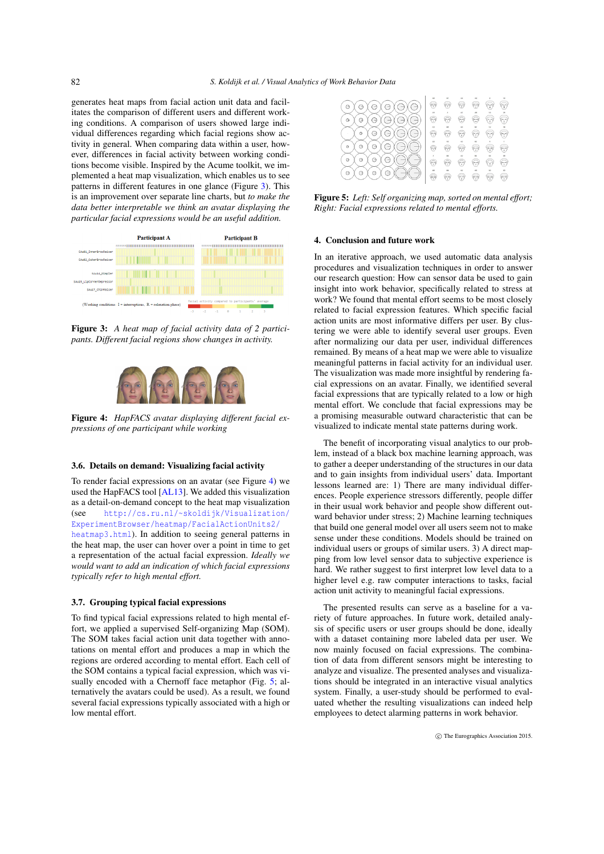<span id="page-3-3"></span>generates heat maps from facial action unit data and facilitates the comparison of different users and different working conditions. A comparison of users showed large individual differences regarding which facial regions show activity in general. When comparing data within a user, however, differences in facial activity between working conditions become visible. Inspired by the Acume toolkit, we implemented a heat map visualization, which enables us to see patterns in different features in one glance (Figure [3\)](#page-3-0). This is an improvement over separate line charts, but *to make the data better interpretable we think an avatar displaying the particular facial expressions would be an useful addition.*



<span id="page-3-0"></span>Figure 3: *A heat map of facial activity data of 2 participants. Different facial regions show changes in activity.*

<span id="page-3-1"></span>

Figure 4: *HapFACS avatar displaying different facial expressions of one participant while working*

#### 3.6. Details on demand: Visualizing facial activity

To render facial expressions on an avatar (see Figure [4\)](#page-3-1) we used the HapFACS tool [\[AL13\]](#page-4-25). We added this visualization as a detail-on-demand concept to the heat map visualization (see [http://cs.ru.nl/~skoldijk/Visualization/](http://cs.ru.nl/~skoldijk/Visualization/ExperimentBrowser/heatmap/FacialActionUnits2/heatmap3.html) [ExperimentBrowser/heatmap/FacialActionUnits2/](http://cs.ru.nl/~skoldijk/Visualization/ExperimentBrowser/heatmap/FacialActionUnits2/heatmap3.html) [heatmap3.html](http://cs.ru.nl/~skoldijk/Visualization/ExperimentBrowser/heatmap/FacialActionUnits2/heatmap3.html)). In addition to seeing general patterns in the heat map, the user can hover over a point in time to get a representation of the actual facial expression. *Ideally we would want to add an indication of which facial expressions typically refer to high mental effort.*

#### 3.7. Grouping typical facial expressions

To find typical facial expressions related to high mental effort, we applied a supervised Self-organizing Map (SOM). The SOM takes facial action unit data together with annotations on mental effort and produces a map in which the regions are ordered according to mental effort. Each cell of the SOM contains a typical facial expression, which was vi-sually encoded with a Chernoff face metaphor (Fig. [5;](#page-3-2) alternatively the avatars could be used). As a result, we found several facial expressions typically associated with a high or low mental effort.

| $\rightarrow$<br>۳<br>$\rightarrow$<br>$\overline{\phantom{a}}$<br>۰. |                |    |       | . .   |    |     |
|-----------------------------------------------------------------------|----------------|----|-------|-------|----|-----|
| Θ<br>$\qquad \qquad$<br>٦ą<br>$\frac{1}{2}$                           | a              | œ  |       | onjay | 79 | tv. |
| G<br>Ξ                                                                | 4.3<br>급       | é۳ | وتيته | ÷     | 55 | Ŧ   |
| $\Theta$<br>Э<br>Θ<br>$\sim$<br>$\sim$                                | $\lambda$<br>ē |    |       | 59    |    | ćτ  |
| Θ<br>Θ<br>Э                                                           | 70             | t  |       |       | G. | v   |
| Э<br>Θ<br>$\overline{\phantom{0}}$<br>≘<br>Ξ                          | M              | w  | m     | 77    |    | v.  |

<span id="page-3-2"></span>Figure 5: *Left: Self organizing map, sorted on mental effort; Right: Facial expressions related to mental efforts.*

# 4. Conclusion and future work

In an iterative approach, we used automatic data analysis procedures and visualization techniques in order to answer our research question: How can sensor data be used to gain insight into work behavior, specifically related to stress at work? We found that mental effort seems to be most closely related to facial expression features. Which specific facial action units are most informative differs per user. By clustering we were able to identify several user groups. Even after normalizing our data per user, individual differences remained. By means of a heat map we were able to visualize meaningful patterns in facial activity for an individual user. The visualization was made more insightful by rendering facial expressions on an avatar. Finally, we identified several facial expressions that are typically related to a low or high mental effort. We conclude that facial expressions may be a promising measurable outward characteristic that can be visualized to indicate mental state patterns during work.

The benefit of incorporating visual analytics to our problem, instead of a black box machine learning approach, was to gather a deeper understanding of the structures in our data and to gain insights from individual users' data. Important lessons learned are: 1) There are many individual differences. People experience stressors differently, people differ in their usual work behavior and people show different outward behavior under stress; 2) Machine learning techniques that build one general model over all users seem not to make sense under these conditions. Models should be trained on individual users or groups of similar users. 3) A direct mapping from low level sensor data to subjective experience is hard. We rather suggest to first interpret low level data to a higher level e.g. raw computer interactions to tasks, facial action unit activity to meaningful facial expressions.

The presented results can serve as a baseline for a variety of future approaches. In future work, detailed analysis of specific users or user groups should be done, ideally with a dataset containing more labeled data per user. We now mainly focused on facial expressions. The combination of data from different sensors might be interesting to analyze and visualize. The presented analyses and visualizations should be integrated in an interactive visual analytics system. Finally, a user-study should be performed to evaluated whether the resulting visualizations can indeed help employees to detect alarming patterns in work behavior.